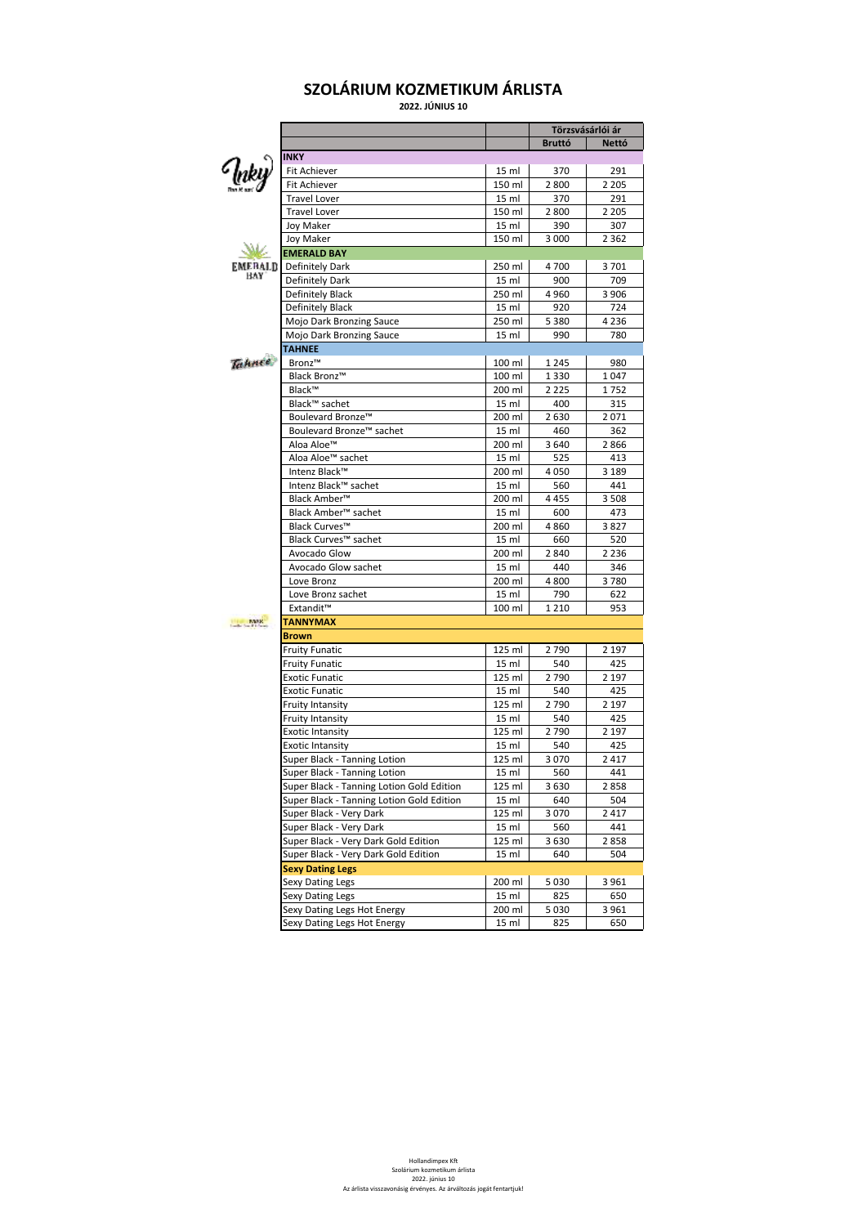## **SZOLÁRIUM KOZMETIKUM ÁRLISTA**

**2022. JÚNIUS 10**

|                             |                                           |                 |               | Törzsvásárlói ár |
|-----------------------------|-------------------------------------------|-----------------|---------------|------------------|
|                             |                                           |                 | <b>Bruttó</b> | <b>Nettó</b>     |
|                             | <b>INKY</b>                               |                 |               |                  |
| ( <sub>luky</sub> )         | Fit Achiever                              | 15 ml           | 370           | 291              |
|                             | Fit Achiever                              | 150 ml          | 2800          | 2 2 0 5          |
|                             | <b>Travel Lover</b>                       | 15 ml           | 370           | 291              |
|                             | <b>Travel Lover</b>                       | 150 ml          | 2800          | 2 2 0 5          |
|                             | Joy Maker                                 | 15 ml           | 390           | 307              |
|                             | Joy Maker                                 | 150 ml          | 3 0 0 0       | 2 3 6 2          |
|                             | <b>EMERALD BAY</b>                        |                 |               |                  |
|                             |                                           |                 |               |                  |
| EMERALD<br>BAY              | Definitely Dark                           | 250 ml          | 4700          | 3701             |
|                             | Definitely Dark                           | 15 ml           | 900           | 709              |
|                             | Definitely Black                          | 250 ml          | 4960          | 3 9 0 6          |
|                             | Definitely Black                          | 15 ml           | 920           | 724              |
|                             | Mojo Dark Bronzing Sauce                  | 250 ml          | 5 3 8 0       | 4 2 3 6          |
|                             | Mojo Dark Bronzing Sauce                  | 15 <sub>m</sub> | 990           | 780              |
|                             | <b>TAHNEE</b>                             |                 |               |                  |
| <b><i><u>Tahnee</u></i></b> | Bronz™                                    | 100 ml          | 1 2 4 5       | 980              |
|                             | Black Bronz™                              | 100 ml          | 1 3 3 0       | 1047             |
|                             | Black™                                    | 200 ml          | 2 2 2 5       | 1752             |
|                             | Black™ sachet                             | 15 ml           | 400           | 315              |
|                             | Boulevard Bronze <sup>™</sup>             | 200 ml          | 2 6 3 0       | 2071             |
|                             | Boulevard Bronze <sup>™</sup> sachet      |                 |               |                  |
|                             |                                           | 15 ml           | 460           | 362              |
|                             | Aloa Aloe <sup>™</sup>                    | 200 ml          | 3640          | 2866             |
|                             | Aloa Aloe <sup>™</sup> sachet             | 15 ml           | 525           | 413              |
|                             | Intenz Black™                             | 200 ml          | 4050          | 3 1 8 9          |
|                             | Intenz Black™ sachet                      | 15 ml           | 560           | 441              |
|                             | Black Amber <sup>™</sup>                  | 200 ml          | 4455          | 3 5 0 8          |
|                             | Black Amber <sup>™</sup> sachet           | 15 ml           | 600           | 473              |
|                             | Black Curves™                             | 200 ml          | 4860          | 3827             |
|                             | Black Curves™ sachet                      | 15 ml           | 660           | 520              |
|                             | Avocado Glow                              | 200 ml          | 2840          | 2 2 3 6          |
|                             | Avocado Glow sachet                       | 15 ml           | 440           | 346              |
|                             | Love Bronz                                | 200 ml          | 4800          | 3780             |
|                             | Love Bronz sachet                         | 15 ml           | 790           | 622              |
|                             | Extandit™                                 | 100 ml          | 1 2 1 0       | 953              |
|                             | <b>TANNYMAX</b>                           |                 |               |                  |
| <b>MAR</b>                  |                                           |                 |               |                  |
|                             | <b>Brown</b>                              |                 |               |                  |
|                             | <b>Fruity Funatic</b>                     | 125 ml          | 2790          | 2 1 9 7          |
|                             | <b>Fruity Funatic</b>                     | 15 ml           | 540           | 425              |
|                             | <b>Exotic Funatic</b>                     | 125 ml          | 2790          | 2 1 9 7          |
|                             | <b>Exotic Funatic</b>                     | 15 ml           | 540           | 425              |
|                             | <b>Fruity Intansity</b>                   | 125 ml          | 2790          | 2 1 9 7          |
|                             | Fruity Intansity                          | 15 ml           | 540           | 425              |
|                             | <b>Exotic Intansity</b>                   | 125 ml          | 2790          | 2 1 9 7          |
|                             | <b>Exotic Intansity</b>                   | 15 ml           | 540           | 425              |
|                             | Super Black - Tanning Lotion              | 125 ml          | 3070          | 2 4 1 7          |
|                             |                                           | 15 ml           | 560           | 441              |
|                             | Super Black - Tanning Lotion              |                 |               |                  |
|                             | Super Black - Tanning Lotion Gold Edition | 125 ml          | 3630          | 2858             |
|                             | Super Black - Tanning Lotion Gold Edition | 15 ml           | 640           | 504              |
|                             | Super Black - Very Dark                   | 125 ml          | 3070          | 2417             |
|                             | Super Black - Very Dark                   | 15 ml           | 560           | 441              |
|                             | Super Black - Very Dark Gold Edition      | 125 ml          | 3630          | 2858             |
|                             | Super Black - Very Dark Gold Edition      | 15 ml           | 640           | 504              |
|                             | <b>Sexy Dating Legs</b>                   |                 |               |                  |
|                             | Sexy Dating Legs                          | 200 ml          | 5 0 3 0       | 3961             |
|                             | Sexy Dating Legs                          | 15 ml           | 825           | 650              |
|                             | Sexy Dating Legs Hot Energy               | 200 ml          | 5 0 3 0       | 3 9 6 1          |
|                             |                                           |                 |               |                  |
|                             | Sexy Dating Legs Hot Energy               | 15 ml           | 825           | 650              |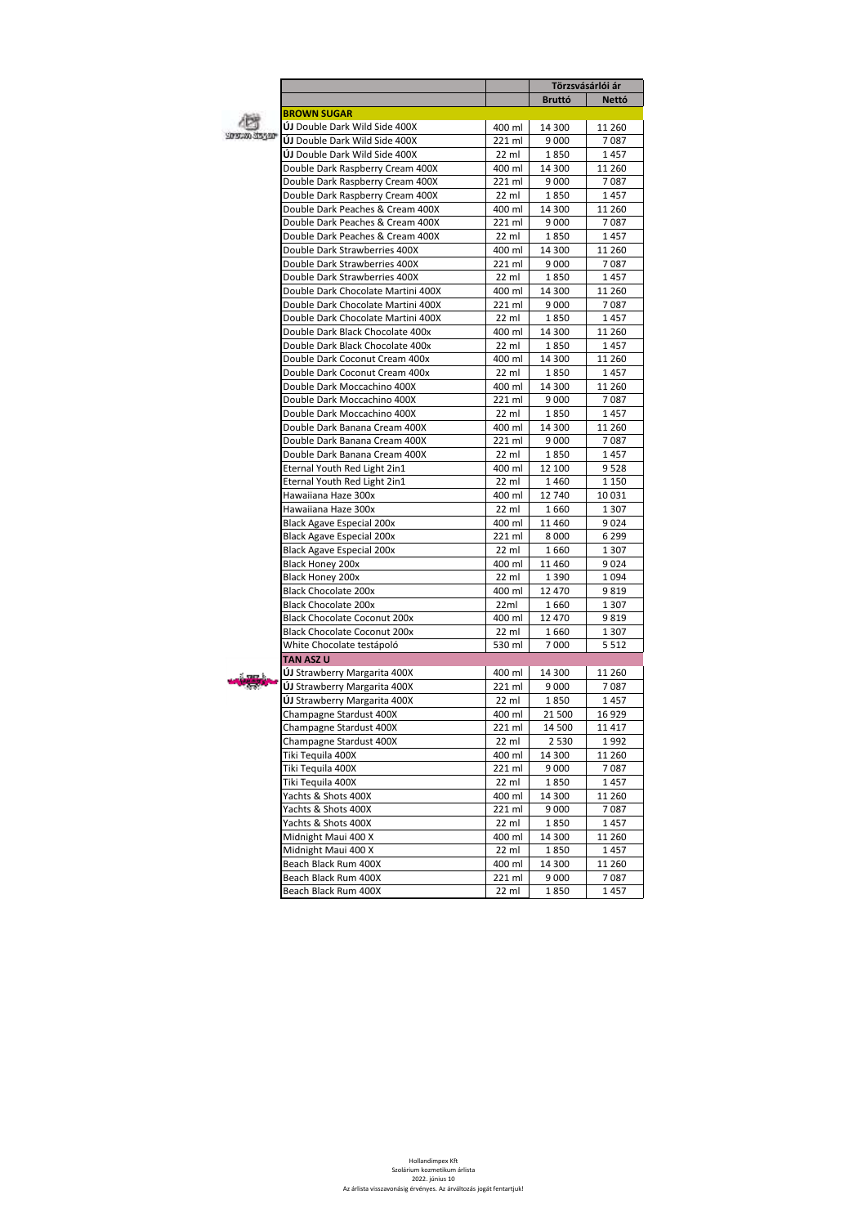|                                                |                 | Törzsvásárlói ár |                |
|------------------------------------------------|-----------------|------------------|----------------|
|                                                |                 | <b>Bruttó</b>    | <b>Nettó</b>   |
| <b>BROWN SUGAR</b>                             |                 |                  |                |
| ÚJ Double Dark Wild Side 400X                  | 400 ml          | 14 300           | 11 260         |
| 5090200305500<br>ÚJ Double Dark Wild Side 400X | 221 ml          | 9 0 0 0          | 7087           |
| ÚJ Double Dark Wild Side 400X                  | 22 ml           | 1850             | 1457           |
| Double Dark Raspberry Cream 400X               | 400 ml          | 14 300           | 11 260         |
| Double Dark Raspberry Cream 400X               | 221 ml          | 9 0 0 0          | 7087           |
| Double Dark Raspberry Cream 400X               | 22 ml           | 1850             | 1457           |
| Double Dark Peaches & Cream 400X               | 400 ml          | 14 300           | 11 260         |
| Double Dark Peaches & Cream 400X               | 221 ml          | 9 0 0 0          | 7087           |
| Double Dark Peaches & Cream 400X               | $22$ ml         | 1850             | 1457           |
| Double Dark Strawberries 400X                  | 400 ml          | 14 300           | 11 260         |
| Double Dark Strawberries 400X                  | 221 ml          | 9 0 0 0          | 7087           |
| Double Dark Strawberries 400X                  | $22$ ml         | 1850             | 1457           |
| Double Dark Chocolate Martini 400X             | 400 ml          | 14 300           | 11 260         |
| Double Dark Chocolate Martini 400X             | 221 ml          | 9 0 0 0          | 7087           |
| Double Dark Chocolate Martini 400X             | 22 ml           | 1850             | 1457           |
| Double Dark Black Chocolate 400x               | 400 ml          | 14 300           | 11 260         |
| Double Dark Black Chocolate 400x               |                 |                  |                |
|                                                | 22 ml           | 1850             | 1457           |
| Double Dark Coconut Cream 400x                 | 400 ml          | 14 300           | 11 260<br>1457 |
| Double Dark Coconut Cream 400x                 | 22 ml           | 1850             |                |
| Double Dark Moccachino 400X                    | 400 ml          | 14 300           | 11 260         |
| Double Dark Moccachino 400X                    | 221 ml          | 9 0 0 0          | 7087           |
| Double Dark Moccachino 400X                    | 22 ml           | 1850             | 1457           |
| Double Dark Banana Cream 400X                  | 400 ml          | 14 300           | 11 260         |
| Double Dark Banana Cream 400X                  | 221 ml          | 9 0 0 0          | 7087           |
| Double Dark Banana Cream 400X                  | 22 ml           | 1850             | 1457           |
| Eternal Youth Red Light 2in1                   | 400 ml          | 12 100           | 9528           |
| Eternal Youth Red Light 2in1                   | 22 ml           | 1460             | 1 1 5 0        |
| Hawaiiana Haze 300x                            | 400 ml          | 12 740           | 10 0 31        |
| Hawaiiana Haze 300x                            | 22 ml           | 1660             | 1 3 0 7        |
| <b>Black Agave Especial 200x</b>               | 400 ml          | 11 460           | 9024           |
| <b>Black Agave Especial 200x</b>               | 221 ml          | 8 0 0 0          | 6 2 9 9        |
| Black Agave Especial 200x                      | 22 ml           | 1660             | 1 3 0 7        |
| Black Honey 200x                               | 400 ml          | 11 460           | 9024           |
| Black Honey 200x                               | 22 ml           | 1 3 9 0          | 1094           |
| <b>Black Chocolate 200x</b>                    | 400 ml          | 12 470           | 9819           |
| <b>Black Chocolate 200x</b>                    | 22ml            | 1660             | 1 3 0 7        |
| <b>Black Chocolate Coconut 200x</b>            | 400 ml          | 12 470           | 9819           |
| <b>Black Chocolate Coconut 200x</b>            | 22 ml           | 1660             | 1 3 0 7        |
| White Chocolate testápoló                      | 530 ml          | 7000             | 5 5 1 2        |
| <b>TAN ASZ U</b>                               |                 |                  |                |
| ÚJ Strawberry Margarita 400X                   | 400 ml          | 14 300           | 11 260         |
| ÚJ Strawberry Margarita 400X                   | 221 ml          | 9 0 0 0          | 7087           |
| ÚJ Strawberry Margarita 400X                   | 22 ml           | 1850             | 1457           |
| Champagne Stardust 400X                        | 400 ml          | 21 500           | 16929          |
| Champagne Stardust 400X                        | 221 ml          | 14 500           | 11417          |
| Champagne Stardust 400X                        | 22 ml           | 2 5 3 0          | 1992           |
| Tiki Tequila 400X                              | 400 ml          | 14 300           | 11 260         |
| Tiki Tequila 400X                              | 221 ml          | 9 0 0 0          | 7087           |
|                                                |                 |                  |                |
|                                                |                 |                  | 1457           |
| Tiki Tequila 400X                              | 22 ml           | 1850             |                |
| Yachts & Shots 400X                            | 400 ml          | 14 300           | 11 260         |
| Yachts & Shots 400X                            | 221 ml          | 9 0 0 0          | 7087           |
| Yachts & Shots 400X                            | 22 ml           | 1850             | 1457           |
| Midnight Maui 400 X                            | 400 ml          | 14 300           | 11 260         |
| Midnight Maui 400 X                            | 22 ml           | 1850             | 1457           |
| Beach Black Rum 400X                           | 400 ml          | 14 300           | 11 260         |
| Beach Black Rum 400X<br>Beach Black Rum 400X   | 221 ml<br>22 ml | 9 0 0 0<br>1850  | 7087<br>1457   |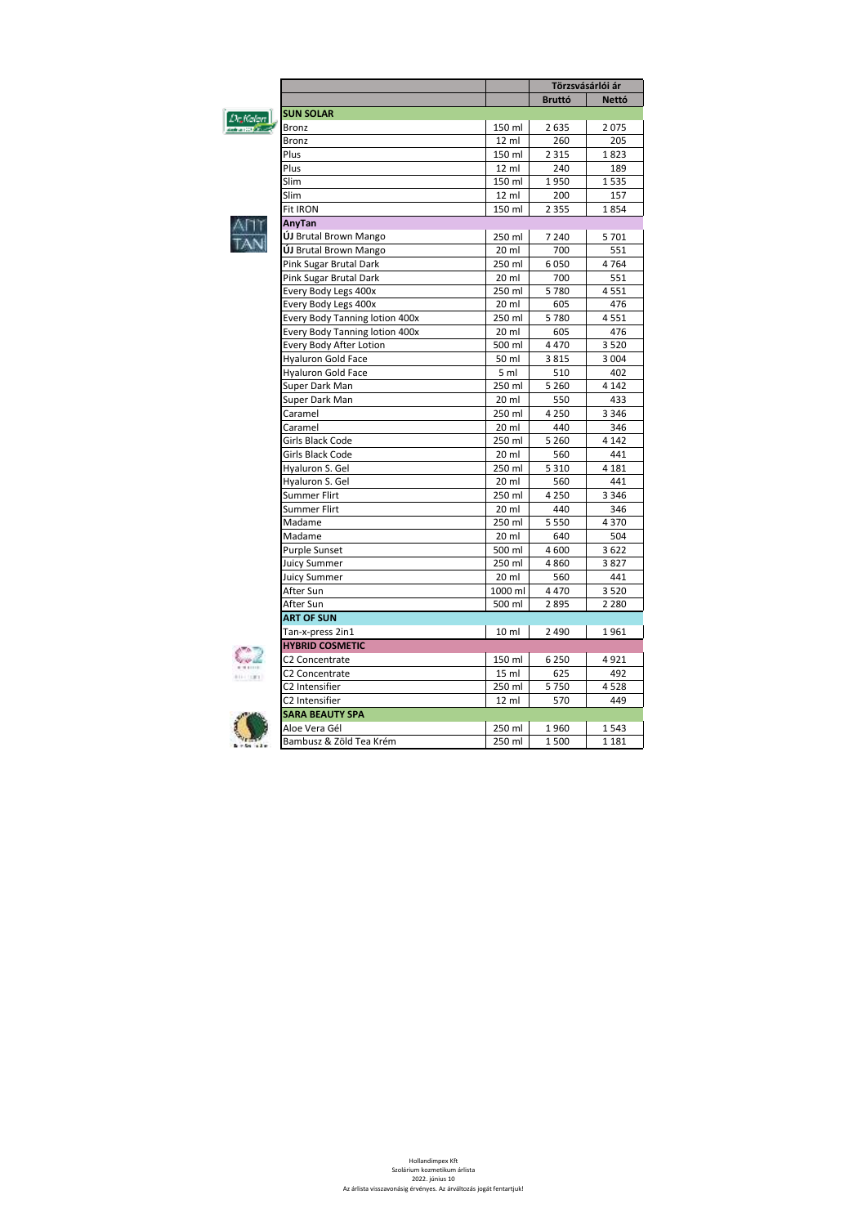|          |                                |                  | Törzsvásárlói ár |              |  |  |  |
|----------|--------------------------------|------------------|------------------|--------------|--|--|--|
|          |                                |                  | <b>Bruttó</b>    | <b>Nettó</b> |  |  |  |
| De Kalan | <b>SUN SOLAR</b>               |                  |                  |              |  |  |  |
|          | Bronz                          | 150 ml           | 2635             | 2075         |  |  |  |
|          | Bronz                          | 12 ml            | 260              | 205          |  |  |  |
|          | Plus                           | 150 ml           | 2 3 1 5          | 1823         |  |  |  |
|          | Plus                           | 12 ml            | 240              | 189          |  |  |  |
|          | Slim                           | 150 ml           | 1950             | 1535         |  |  |  |
|          | Slim                           | $12$ ml          | 200              | 157          |  |  |  |
|          | <b>Fit IRON</b>                | 150 ml           | 2 3 5 5          | 1854         |  |  |  |
|          | AnyTan                         |                  |                  |              |  |  |  |
|          | ÚJ Brutal Brown Mango          | 250 ml           | 7 2 4 0          | 5 7 0 1      |  |  |  |
|          | <b>ÚJ</b> Brutal Brown Mango   | 20 ml            | 700              | 551          |  |  |  |
|          | Pink Sugar Brutal Dark         | 250 ml           | 6050             | 4764         |  |  |  |
|          | Pink Sugar Brutal Dark         | $20$ ml          | 700              | 551          |  |  |  |
|          | Every Body Legs 400x           | 250 ml           | 5780             | 4551         |  |  |  |
|          | Every Body Legs 400x           | 20 <sub>ml</sub> | 605              | 476          |  |  |  |
|          | Every Body Tanning lotion 400x | 250 ml           | 5780             | 4551         |  |  |  |
|          | Every Body Tanning lotion 400x | 20 ml            | 605              | 476          |  |  |  |
|          | Every Body After Lotion        | 500 ml           | 4470             | 3520         |  |  |  |
|          | <b>Hyaluron Gold Face</b>      | 50 ml            | 3815             | 3 0 0 4      |  |  |  |
|          | <b>Hyaluron Gold Face</b>      | 5 <sub>m</sub>   | 510              | 402          |  |  |  |
|          | Super Dark Man                 | 250 ml           | 5 2 6 0          | 4 1 4 2      |  |  |  |
|          | Super Dark Man                 | 20 ml            | 550              | 433          |  |  |  |
|          | Caramel                        | 250 ml           | 4 2 5 0          | 3 3 4 6      |  |  |  |
|          | Caramel                        | 20 ml            | 440              | 346          |  |  |  |
|          | Girls Black Code               | 250 ml           | 5 2 6 0          | 4 1 4 2      |  |  |  |
|          | Girls Black Code               | 20 ml            | 560              | 441          |  |  |  |
|          | Hyaluron S. Gel                | 250 ml           | 5 3 1 0          | 4 1 8 1      |  |  |  |
|          | Hyaluron S. Gel                | 20 ml            | 560              | 441          |  |  |  |
|          | Summer Flirt                   | 250 ml           | 4 2 5 0          | 3 3 4 6      |  |  |  |
|          | Summer Flirt                   | 20 ml            | 440              | 346          |  |  |  |
|          | Madame                         | 250 ml           | 5 5 5 0          | 4 3 7 0      |  |  |  |
|          | Madame                         | 20 ml            | 640              | 504          |  |  |  |
|          | <b>Purple Sunset</b>           | 500 ml           | 4 600            | 3622         |  |  |  |
|          | <b>Juicy Summer</b>            | 250 ml           | 4860             | 3827         |  |  |  |
|          | <b>Juicy Summer</b>            | 20 ml            | 560              | 441          |  |  |  |
|          | After Sun                      | 1000 ml          | 4470             | 3520         |  |  |  |
|          | After Sun                      | 500 ml           | 2895             | 2 2 8 0      |  |  |  |
|          | <b>ART OF SUN</b>              |                  |                  |              |  |  |  |
|          | Tan-x-press 2in1               | 10 <sub>ml</sub> | 2 4 9 0          | 1961         |  |  |  |
|          | <b>HYBRID COSMETIC</b>         |                  |                  |              |  |  |  |
|          | C2 Concentrate                 | 150 ml           | 6 2 5 0          | 4921         |  |  |  |
|          | C2 Concentrate                 | 15 ml            | 625              | 492          |  |  |  |
|          | C2 Intensifier                 | 250 ml           | 5750             | 4528         |  |  |  |
|          | C2 Intensifier                 | 12 ml            | 570              | 449          |  |  |  |
|          | <b>SARA BEAUTY SPA</b>         |                  |                  |              |  |  |  |
|          | Aloe Vera Gél                  | 250 ml           | 1960             | 1543         |  |  |  |
|          | Bambusz & Zöld Tea Krém        | 250 ml           | 1500             | 1 1 8 1      |  |  |  |

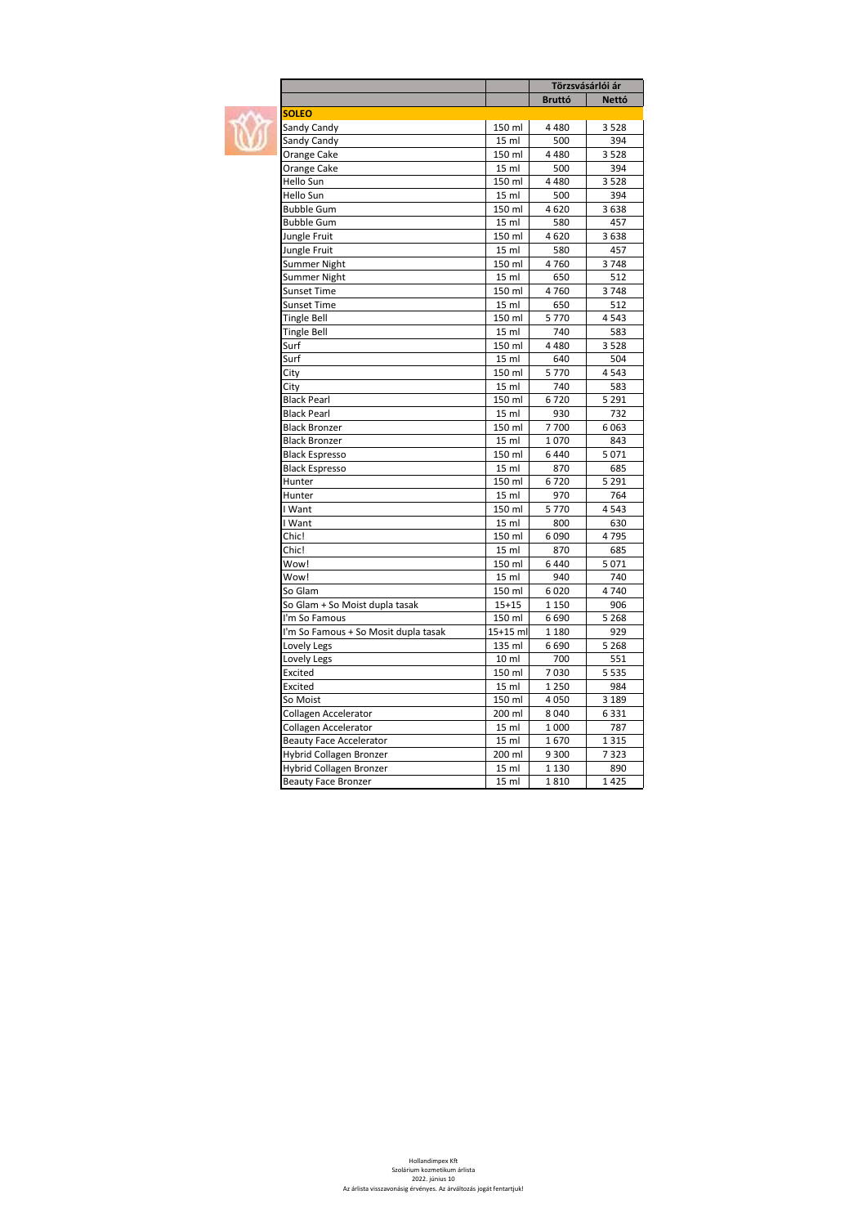$\blacksquare$ 

|                                      |                  | Törzsvásárlói ár |              |
|--------------------------------------|------------------|------------------|--------------|
|                                      |                  | <b>Bruttó</b>    | <b>Nettó</b> |
| <b>SOLEO</b>                         |                  |                  |              |
| Sandy Candy                          | 150 ml           | 4 4 8 0          | 3528         |
| Sandy Candy                          | 15 ml            | 500              | 394          |
| Orange Cake                          | 150 ml           | 4 4 8 0          | 3528         |
| Orange Cake                          | 15 ml            | 500              | 394          |
| Hello Sun                            | 150 ml           | 4480             | 3528         |
| Hello Sun                            | 15 ml            | 500              | 394          |
| <b>Bubble Gum</b>                    | 150 ml           | 4620             | 3638         |
| <b>Bubble Gum</b>                    | 15 ml            | 580              | 457          |
| Jungle Fruit                         | 150 ml           | 4620             | 3638         |
| Jungle Fruit                         | 15 ml            | 580              | 457          |
| Summer Night                         | 150 ml           | 4760             | 3748         |
| Summer Night                         | 15 ml            | 650              | 512          |
| <b>Sunset Time</b>                   | 150 ml           | 4760             | 3748         |
| <b>Sunset Time</b>                   | 15 ml            | 650              | 512          |
| <b>Tingle Bell</b>                   | 150 ml           | 5770             | 4543         |
| <b>Tingle Bell</b>                   | 15 <sub>m</sub>  | 740              | 583          |
| Surf                                 | 150 ml           | 4480             | 3528         |
| Surf                                 | 15 ml            | 640              | 504          |
| City                                 | 150 ml           | 5770             | 4543         |
| City                                 | 15 ml            | 740              | 583          |
| <b>Black Pearl</b>                   | 150 ml           | 6720             | 5 2 9 1      |
| <b>Black Pearl</b>                   | 15 ml            | 930              | 732          |
| <b>Black Bronzer</b>                 | 150 ml           | 7700             | 6063         |
| Black Bronzer                        | 15 ml            | 1070             | 843          |
| <b>Black Espresso</b>                | 150 ml           | 6440             | 5071         |
| <b>Black Espresso</b>                | 15 ml            | 870              | 685          |
| Hunter                               | 150 ml           | 6720             | 5 2 9 1      |
| Hunter                               | 15 ml            | 970              | 764          |
| I Want                               | 150 ml           | 5770             | 4543         |
| I Want                               | 15 ml            | 800              | 630          |
| Chic!                                | 150 ml           | 6090             | 4795         |
| Chic!                                | 15 <sub>m</sub>  | 870              | 685          |
| Wow!                                 | 150 ml           | 6440             | 5071         |
| Wow!                                 | 15 ml            | 940              | 740          |
| So Glam                              | 150 ml           | 6020             | 4740         |
| So Glam + So Moist dupla tasak       | $15 + 15$        | 1 1 5 0          | 906          |
| I'm So Famous                        | 150 ml           | 6690             | 5 2 6 8      |
| I'm So Famous + So Mosit dupla tasak | 15+15 ml         | 1 1 8 0          | 929          |
| Lovely Legs                          | 135 ml           | 6690             | 5 2 6 8      |
| Lovely Legs                          | 10 <sub>ml</sub> | 700              | 551          |
| Excited                              | 150 ml           | 7030             | 5 5 3 5      |
| Excited                              | 15 ml            | 1 2 5 0          | 984          |
| So Moist                             | 150 ml           | 4050             | 3 1 8 9      |
| Collagen Accelerator                 | 200 ml           | 8 0 4 0          | 6 3 3 1      |
| Collagen Accelerator                 | 15 ml            | 1 000            | 787          |
| <b>Beauty Face Accelerator</b>       | 15 ml            | 1670             | 1 3 1 5      |
| Hybrid Collagen Bronzer              | 200 ml           | 9 3 0 0          | 7323         |
| Hybrid Collagen Bronzer              | 15 <sub>m</sub>  | 1 1 3 0          | 890          |
| <b>Beauty Face Bronzer</b>           | 15 ml            | 1810             | 1425         |